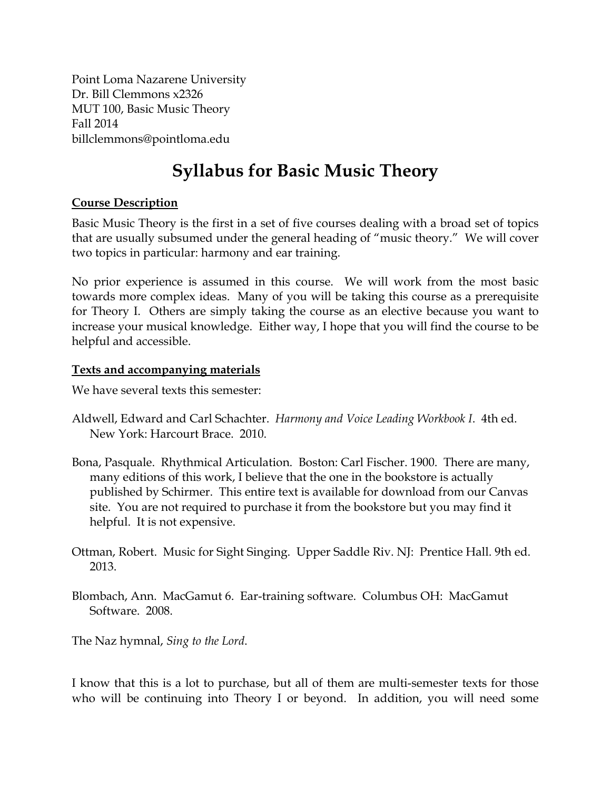Point Loma Nazarene University Dr. Bill Clemmons x2326 MUT 100, Basic Music Theory Fall 2014 billclemmons@pointloma.edu

# **Syllabus for Basic Music Theory**

#### **Course Description**

Basic Music Theory is the first in a set of five courses dealing with a broad set of topics that are usually subsumed under the general heading of "music theory." We will cover two topics in particular: harmony and ear training.

No prior experience is assumed in this course. We will work from the most basic towards more complex ideas. Many of you will be taking this course as a prerequisite for Theory I. Others are simply taking the course as an elective because you want to increase your musical knowledge. Either way, I hope that you will find the course to be helpful and accessible.

#### **Texts and accompanying materials**

We have several texts this semester:

- Aldwell, Edward and Carl Schachter. *Harmony and Voice Leading Workbook I*. 4th ed. New York: Harcourt Brace. 2010.
- Bona, Pasquale. Rhythmical Articulation. Boston: Carl Fischer. 1900. There are many, many editions of this work, I believe that the one in the bookstore is actually published by Schirmer. This entire text is available for download from our Canvas site. You are not required to purchase it from the bookstore but you may find it helpful. It is not expensive.
- Ottman, Robert. Music for Sight Singing. Upper Saddle Riv. NJ: Prentice Hall. 9th ed. 2013.
- Blombach, Ann. MacGamut 6. Ear-training software. Columbus OH: MacGamut Software. 2008.

The Naz hymnal, *Sing to the Lord*.

I know that this is a lot to purchase, but all of them are multi-semester texts for those who will be continuing into Theory I or beyond. In addition, you will need some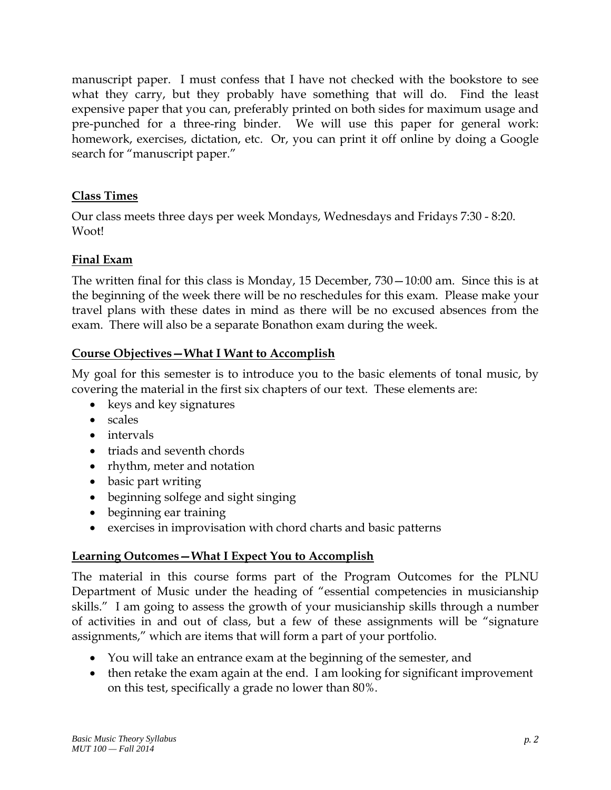manuscript paper. I must confess that I have not checked with the bookstore to see what they carry, but they probably have something that will do. Find the least expensive paper that you can, preferably printed on both sides for maximum usage and pre-punched for a three-ring binder. We will use this paper for general work: homework, exercises, dictation, etc. Or, you can print it off online by doing a Google search for "manuscript paper."

#### **Class Times**

Our class meets three days per week Mondays, Wednesdays and Fridays 7:30 - 8:20. Woot!

#### **Final Exam**

The written final for this class is Monday, 15 December, 730—10:00 am. Since this is at the beginning of the week there will be no reschedules for this exam. Please make your travel plans with these dates in mind as there will be no excused absences from the exam. There will also be a separate Bonathon exam during the week.

#### **Course Objectives—What I Want to Accomplish**

My goal for this semester is to introduce you to the basic elements of tonal music, by covering the material in the first six chapters of our text. These elements are:

- keys and key signatures
- scales
- intervals
- triads and seventh chords
- rhythm, meter and notation
- basic part writing
- beginning solfege and sight singing
- beginning ear training
- exercises in improvisation with chord charts and basic patterns

#### **Learning Outcomes—What I Expect You to Accomplish**

The material in this course forms part of the Program Outcomes for the PLNU Department of Music under the heading of "essential competencies in musicianship skills." I am going to assess the growth of your musicianship skills through a number of activities in and out of class, but a few of these assignments will be "signature assignments," which are items that will form a part of your portfolio.

- You will take an entrance exam at the beginning of the semester, and
- then retake the exam again at the end. I am looking for significant improvement on this test, specifically a grade no lower than 80%.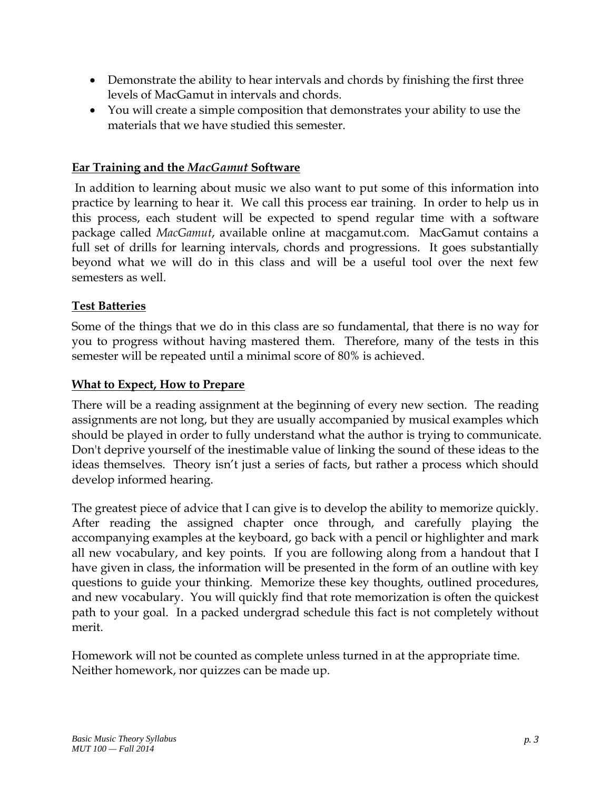- Demonstrate the ability to hear intervals and chords by finishing the first three levels of MacGamut in intervals and chords.
- You will create a simple composition that demonstrates your ability to use the materials that we have studied this semester.

#### **Ear Training and the** *MacGamut* **Software**

 In addition to learning about music we also want to put some of this information into practice by learning to hear it. We call this process ear training. In order to help us in this process, each student will be expected to spend regular time with a software package called *MacGamut*, available online at macgamut.com. MacGamut contains a full set of drills for learning intervals, chords and progressions. It goes substantially beyond what we will do in this class and will be a useful tool over the next few semesters as well.

#### **Test Batteries**

Some of the things that we do in this class are so fundamental, that there is no way for you to progress without having mastered them. Therefore, many of the tests in this semester will be repeated until a minimal score of 80% is achieved.

#### **What to Expect, How to Prepare**

There will be a reading assignment at the beginning of every new section. The reading assignments are not long, but they are usually accompanied by musical examples which should be played in order to fully understand what the author is trying to communicate. Don't deprive yourself of the inestimable value of linking the sound of these ideas to the ideas themselves. Theory isn't just a series of facts, but rather a process which should develop informed hearing.

The greatest piece of advice that I can give is to develop the ability to memorize quickly. After reading the assigned chapter once through, and carefully playing the accompanying examples at the keyboard, go back with a pencil or highlighter and mark all new vocabulary, and key points. If you are following along from a handout that I have given in class, the information will be presented in the form of an outline with key questions to guide your thinking. Memorize these key thoughts, outlined procedures, and new vocabulary. You will quickly find that rote memorization is often the quickest path to your goal. In a packed undergrad schedule this fact is not completely without merit.

Homework will not be counted as complete unless turned in at the appropriate time. Neither homework, nor quizzes can be made up.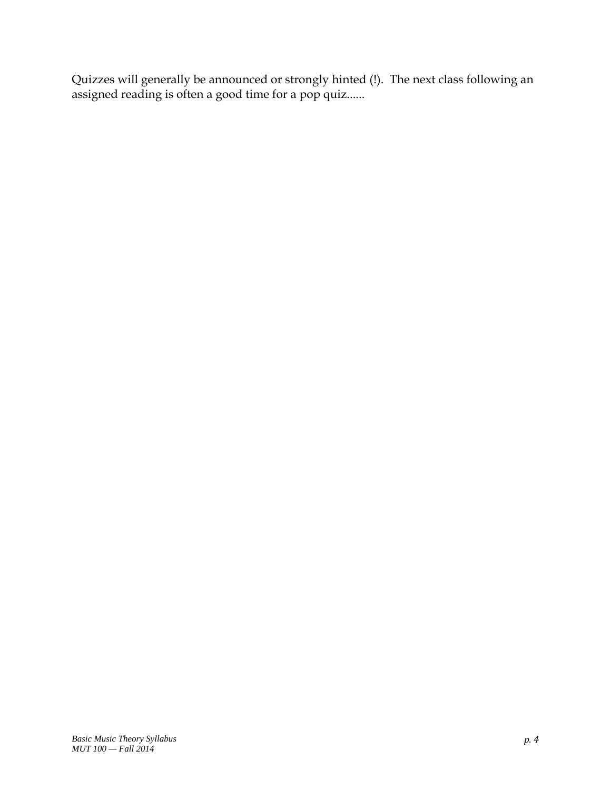Quizzes will generally be announced or strongly hinted (!). The next class following an assigned reading is often a good time for a pop quiz......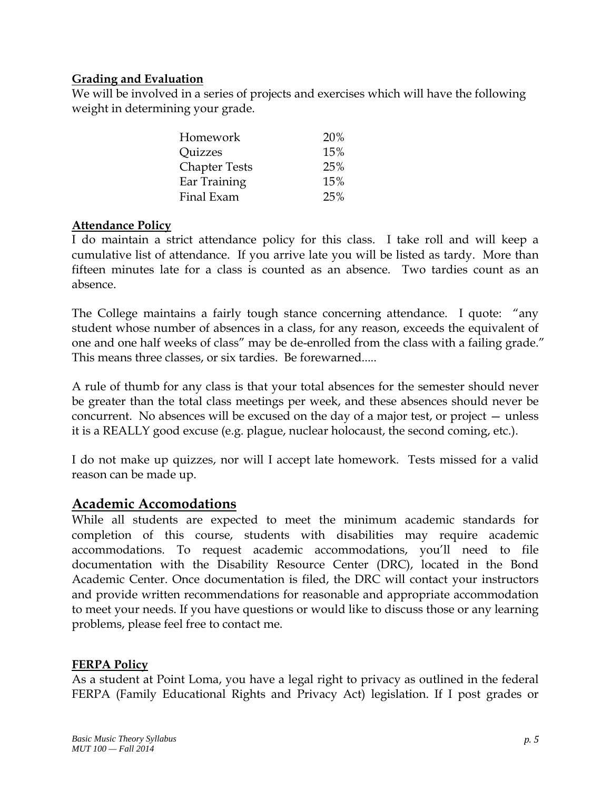#### **Grading and Evaluation**

We will be involved in a series of projects and exercises which will have the following weight in determining your grade.

| Homework                     | 20% |
|------------------------------|-----|
| <i><u><b>Ouizzes</b></u></i> | 15% |
| <b>Chapter Tests</b>         | 25% |
| Ear Training                 | 15% |
| Final Exam                   | 25% |

#### **Attendance Policy**

I do maintain a strict attendance policy for this class. I take roll and will keep a cumulative list of attendance. If you arrive late you will be listed as tardy. More than fifteen minutes late for a class is counted as an absence. Two tardies count as an absence.

The College maintains a fairly tough stance concerning attendance. I quote: "any student whose number of absences in a class, for any reason, exceeds the equivalent of one and one half weeks of class" may be de-enrolled from the class with a failing grade." This means three classes, or six tardies. Be forewarned.....

A rule of thumb for any class is that your total absences for the semester should never be greater than the total class meetings per week, and these absences should never be concurrent. No absences will be excused on the day of a major test, or project — unless it is a REALLY good excuse (e.g. plague, nuclear holocaust, the second coming, etc.).

I do not make up quizzes, nor will I accept late homework. Tests missed for a valid reason can be made up.

#### **Academic Accomodations**

While all students are expected to meet the minimum academic standards for completion of this course, students with disabilities may require academic accommodations. To request academic accommodations, you'll need to file documentation with the Disability Resource Center (DRC), located in the Bond Academic Center. Once documentation is filed, the DRC will contact your instructors and provide written recommendations for reasonable and appropriate accommodation to meet your needs. If you have questions or would like to discuss those or any learning problems, please feel free to contact me.

#### **FERPA Policy**

As a student at Point Loma, you have a legal right to privacy as outlined in the federal FERPA (Family Educational Rights and Privacy Act) legislation. If I post grades or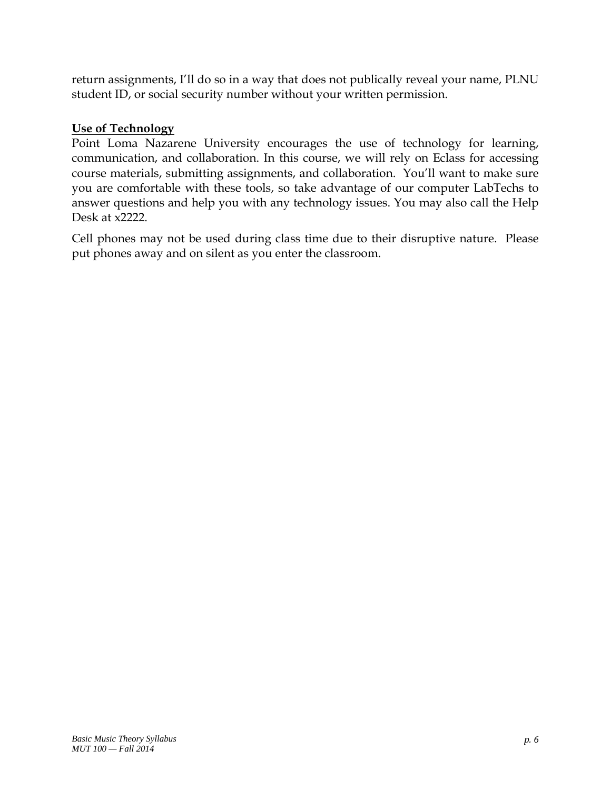return assignments, I'll do so in a way that does not publically reveal your name, PLNU student ID, or social security number without your written permission.

#### **Use of Technology**

Point Loma Nazarene University encourages the use of technology for learning, communication, and collaboration. In this course, we will rely on Eclass for accessing course materials, submitting assignments, and collaboration. You'll want to make sure you are comfortable with these tools, so take advantage of our computer LabTechs to answer questions and help you with any technology issues. You may also call the Help Desk at x2222.

Cell phones may not be used during class time due to their disruptive nature. Please put phones away and on silent as you enter the classroom.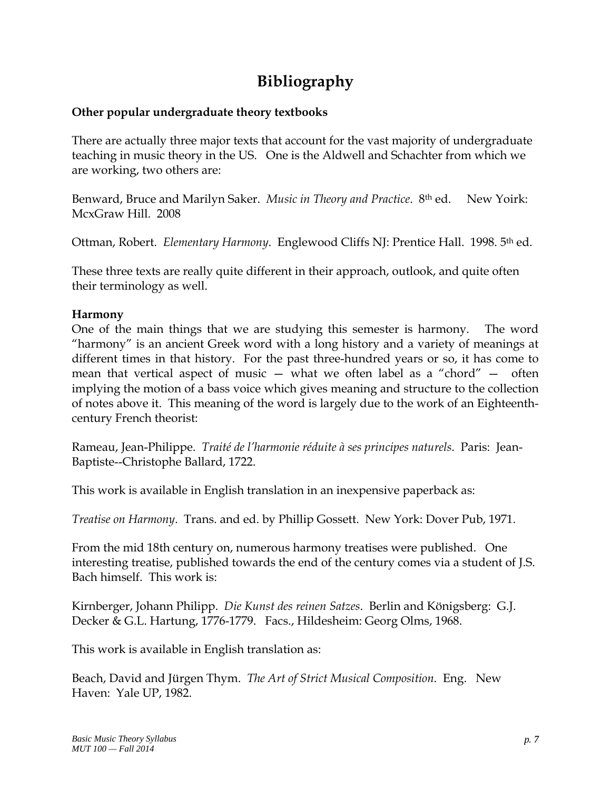### **Bibliography**

#### **Other popular undergraduate theory textbooks**

There are actually three major texts that account for the vast majority of undergraduate teaching in music theory in the US. One is the Aldwell and Schachter from which we are working, two others are:

Benward, Bruce and Marilyn Saker. *Music in Theory and Practice*. 8th ed. New Yoirk: McxGraw Hill. 2008

Ottman, Robert. *Elementary Harmony*. Englewood Cliffs NJ: Prentice Hall. 1998. 5th ed.

These three texts are really quite different in their approach, outlook, and quite often their terminology as well.

#### **Harmony**

One of the main things that we are studying this semester is harmony. The word "harmony" is an ancient Greek word with a long history and a variety of meanings at different times in that history. For the past three-hundred years or so, it has come to mean that vertical aspect of music — what we often label as a "chord" — often implying the motion of a bass voice which gives meaning and structure to the collection of notes above it. This meaning of the word is largely due to the work of an Eighteenthcentury French theorist:

Rameau, Jean-Philippe. *Traité de l'harmonie réduite à ses principes naturels*. Paris: Jean-Baptiste--Christophe Ballard, 1722.

This work is available in English translation in an inexpensive paperback as:

*Treatise on Harmony*. Trans. and ed. by Phillip Gossett. New York: Dover Pub, 1971.

From the mid 18th century on, numerous harmony treatises were published. One interesting treatise, published towards the end of the century comes via a student of J.S. Bach himself. This work is:

Kirnberger, Johann Philipp. *Die Kunst des reinen Satzes*. Berlin and Königsberg: G.J. Decker & G.L. Hartung, 1776-1779. Facs., Hildesheim: Georg Olms, 1968.

This work is available in English translation as:

Beach, David and Jürgen Thym. *The Art of Strict Musical Composition*. Eng. New Haven: Yale UP, 1982.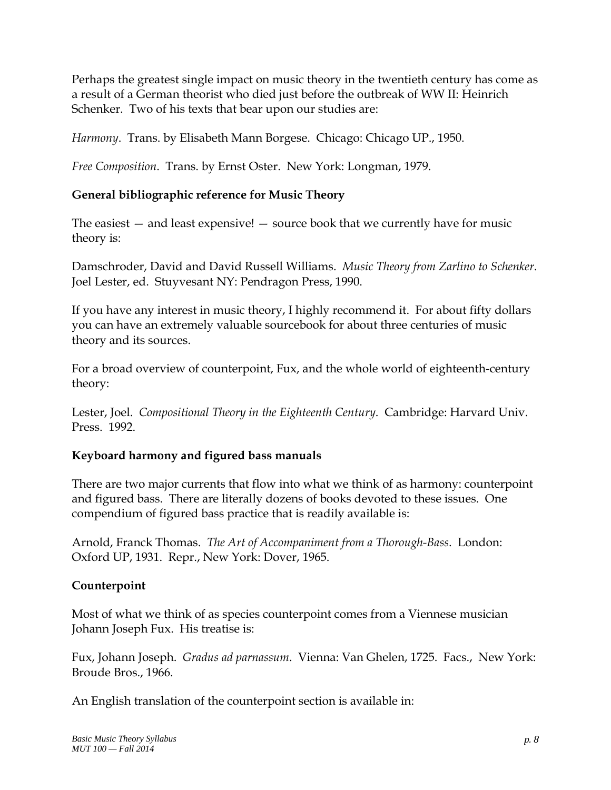Perhaps the greatest single impact on music theory in the twentieth century has come as a result of a German theorist who died just before the outbreak of WW II: Heinrich Schenker. Two of his texts that bear upon our studies are:

*Harmony*. Trans. by Elisabeth Mann Borgese. Chicago: Chicago UP., 1950.

*Free Composition*. Trans. by Ernst Oster. New York: Longman, 1979.

#### **General bibliographic reference for Music Theory**

The easiest — and least expensive! — source book that we currently have for music theory is:

Damschroder, David and David Russell Williams. *Music Theory from Zarlino to Schenker*. Joel Lester, ed. Stuyvesant NY: Pendragon Press, 1990.

If you have any interest in music theory, I highly recommend it. For about fifty dollars you can have an extremely valuable sourcebook for about three centuries of music theory and its sources.

For a broad overview of counterpoint, Fux, and the whole world of eighteenth-century theory:

Lester, Joel. *Compositional Theory in the Eighteenth Century*. Cambridge: Harvard Univ. Press. 1992.

#### **Keyboard harmony and figured bass manuals**

There are two major currents that flow into what we think of as harmony: counterpoint and figured bass. There are literally dozens of books devoted to these issues. One compendium of figured bass practice that is readily available is:

Arnold, Franck Thomas. *The Art of Accompaniment from a Thorough-Bass*. London: Oxford UP, 1931. Repr., New York: Dover, 1965.

#### **Counterpoint**

Most of what we think of as species counterpoint comes from a Viennese musician Johann Joseph Fux. His treatise is:

Fux, Johann Joseph. *Gradus ad parnassum*. Vienna: Van Ghelen, 1725. Facs., New York: Broude Bros., 1966.

An English translation of the counterpoint section is available in: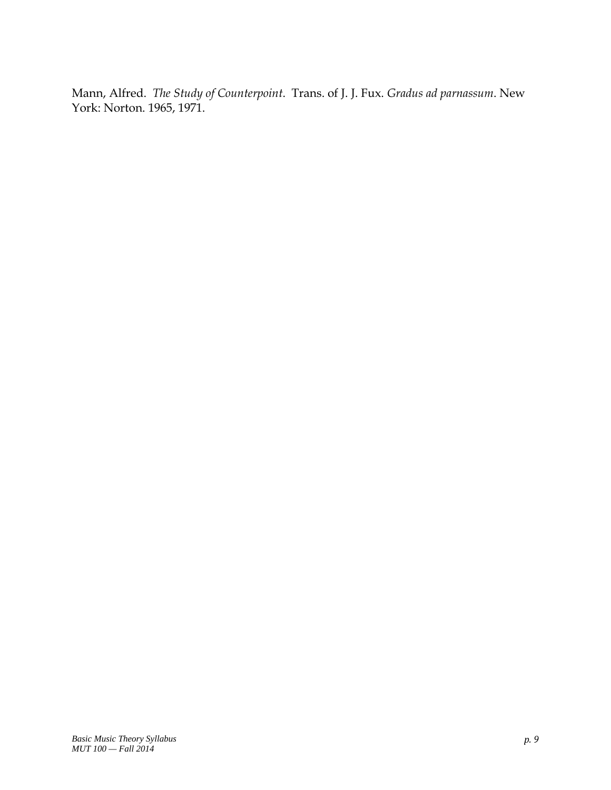Mann, Alfred. *The Study of Counterpoint*. Trans. of J. J. Fux. *Gradus ad parnassum*. New York: Norton. 1965, 1971.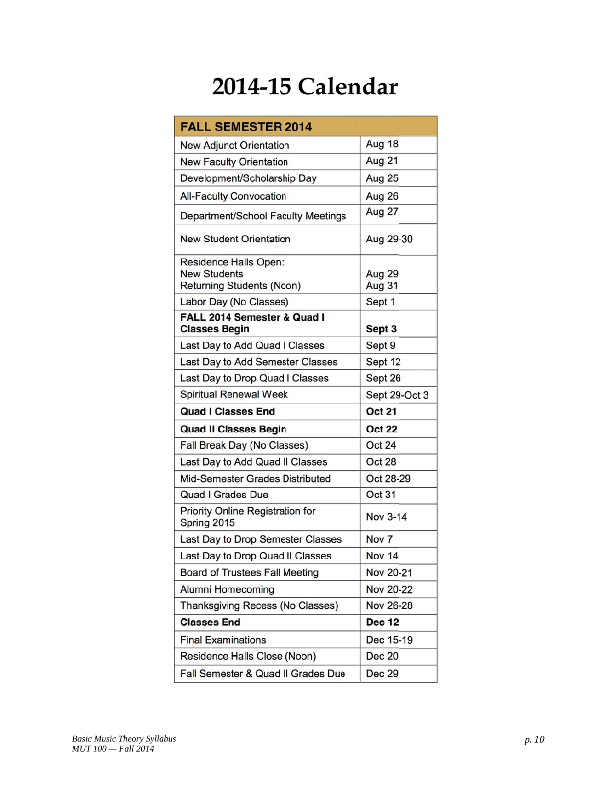# **2014-15 Calendar**

| <b>FALL SEMESTER 2014</b>                                                                           |                            |
|-----------------------------------------------------------------------------------------------------|----------------------------|
| New Adjurct Orientation                                                                             | Aug 18                     |
| <b>New Faculty Orientation</b>                                                                      | Aug 21                     |
| Development/Scholarship Day                                                                         | Aug 25                     |
| <b>All-Faculty Convocation</b>                                                                      | Aug 26                     |
| Department/School Faculty Meetings                                                                  | Aug 27                     |
| <b>New Student Orientation</b>                                                                      | Aug 29-30                  |
| Residence Halls Open:<br><b>New Students</b><br>Returning Students (Ncon)<br>Labor Day (No Classes) | Aug 29<br>Aug 31<br>Sept 1 |
| FALL 2014 Semester & Quad I                                                                         |                            |
| <b>Classes Begin</b>                                                                                | Sept 3                     |
| Last Day to Add Quad I Classes                                                                      | Sept 9                     |
| Last Day to Add Semester Classes                                                                    | Sept 12                    |
| Last Day to Drop Quad I Classes                                                                     | Sept 26                    |
| <b>Spiritual Renewal Week</b>                                                                       | Sept 29-Oct 3              |
| <b>Quad I Classes End</b>                                                                           | <b>Oct 21</b>              |
| <b>Quad II Classes Begin</b>                                                                        | <b>Oct 22</b>              |
| Fall Break Day (No Classes)                                                                         | <b>Oct 24</b>              |
| Last Day to Add Quad II Classes                                                                     | Oct 28                     |
| Mid-Semester Grades Distributed                                                                     | Oct 28-29                  |
| Quad I Grades Due                                                                                   | Oct 31                     |
| Priority Online Registration for<br>Spring 2015                                                     | Nov 3-14                   |
| Last Day to Drop Semester Classes                                                                   | Nov <sub>7</sub>           |
| Last Day to Drop Quad II Classes                                                                    | <b>Nov 14</b>              |
| Board of Trustees Fall Meeting                                                                      | Nov 20-21                  |
| Alumni Homecoming                                                                                   | <b>Nov 20-22</b>           |
| Thanksgiving Recess (No Classes)                                                                    | <b>Nov 26-28</b>           |
| <b>Classes End</b>                                                                                  | <b>Dec 12</b>              |
| <b>Final Examinations</b>                                                                           | Dec 15-19                  |
| Residence Halls Close (Noon)                                                                        | <b>Dec 20</b>              |
| Fall Semester & Quad II Grades Due                                                                  | Dec 29                     |